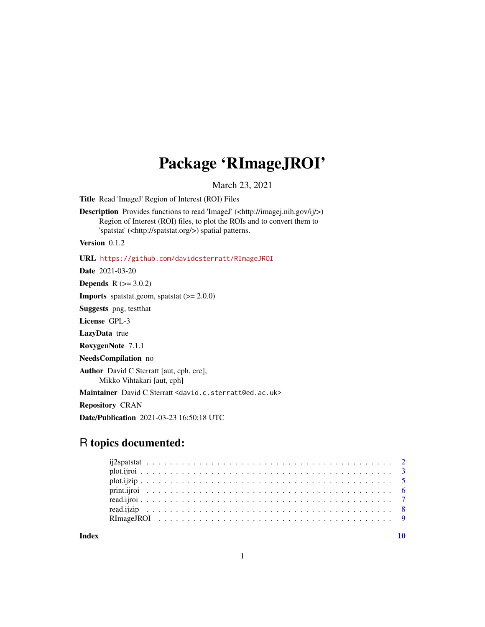## Package 'RImageJROI'

March 23, 2021

<span id="page-0-0"></span>Title Read 'ImageJ' Region of Interest (ROI) Files

Description Provides functions to read 'ImageJ' (<http://imagej.nih.gov/ij/>) Region of Interest (ROI) files, to plot the ROIs and to convert them to 'spatstat' (<http://spatstat.org/>) spatial patterns.

Version 0.1.2

URL <https://github.com/davidcsterratt/RImageJROI>

Date 2021-03-20

**Depends**  $R (= 3.0.2)$ 

**Imports** spatstat.geom, spatstat  $(>= 2.0.0)$ 

Suggests png, testthat

License GPL-3

LazyData true

RoxygenNote 7.1.1

NeedsCompilation no

Author David C Sterratt [aut, cph, cre], Mikko Vihtakari [aut, cph]

Maintainer David C Sterratt <david.c.sterratt@ed.ac.uk>

Repository CRAN

Date/Publication 2021-03-23 16:50:18 UTC

## R topics documented:

 $\blacksquare$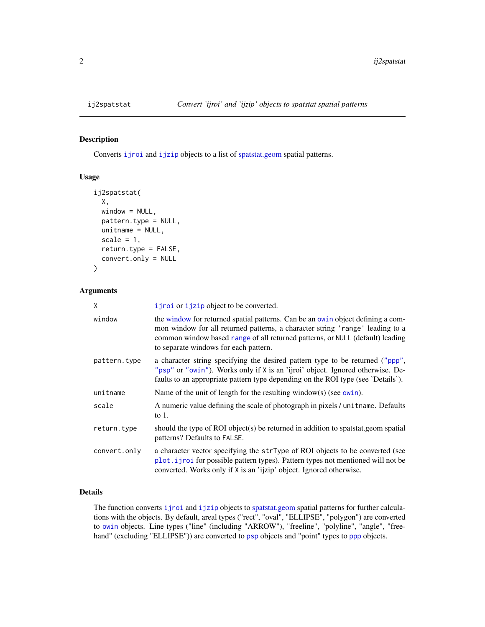## Description

Converts [ijroi](#page-6-1) and [ijzip](#page-7-1) objects to a list of [spatstat.geom](#page-0-0) spatial patterns.

#### Usage

```
ij2spatstat(
 X,
 window = NULL,
 pattern.type = NULL,
  unitname = NULL,
  scale = 1,
  return.type = FALSE,
  convert.only = NULL
)
```
#### Arguments

| χ            | i jroi or i jzip object to be converted.                                                                                                                                                                                                                                                   |
|--------------|--------------------------------------------------------------------------------------------------------------------------------------------------------------------------------------------------------------------------------------------------------------------------------------------|
| window       | the window for returned spatial patterns. Can be an owin object defining a com-<br>mon window for all returned patterns, a character string 'range' leading to a<br>common window based range of all returned patterns, or NULL (default) leading<br>to separate windows for each pattern. |
| pattern.type | a character string specifying the desired pattern type to be returned ("ppp",<br>"psp" or "owin"). Works only if X is an 'ijroi' object. Ignored otherwise. De-<br>faults to an appropriate pattern type depending on the ROI type (see 'Details').                                        |
| unitname     | Name of the unit of length for the resulting window(s) (see $owin$ ).                                                                                                                                                                                                                      |
| scale        | A numeric value defining the scale of photograph in pixels / unit name. Defaults<br>to $1$ .                                                                                                                                                                                               |
| return.type  | should the type of ROI object(s) be returned in addition to spatstat.geom spatial<br>patterns? Defaults to FALSE.                                                                                                                                                                          |
| convert.only | a character vector specifying the strType of ROI objects to be converted (see<br>plot.ijroi for possible pattern types). Pattern types not mentioned will not be<br>converted. Works only if X is an 'ijzip' object. Ignored otherwise.                                                    |

## Details

The function converts i jroi and i jzip objects to [spatstat.geom](#page-0-0) spatial patterns for further calculations with the objects. By default, areal types ("rect", "oval", "ELLIPSE", "polygon") are converted to [owin](#page-0-0) objects. Line types ("line" (including "ARROW"), "freeline", "polyline", "angle", "freehand" (excluding "ELLIPSE")) are converted to [psp](#page-0-0) objects and "point" types to [ppp](#page-0-0) objects.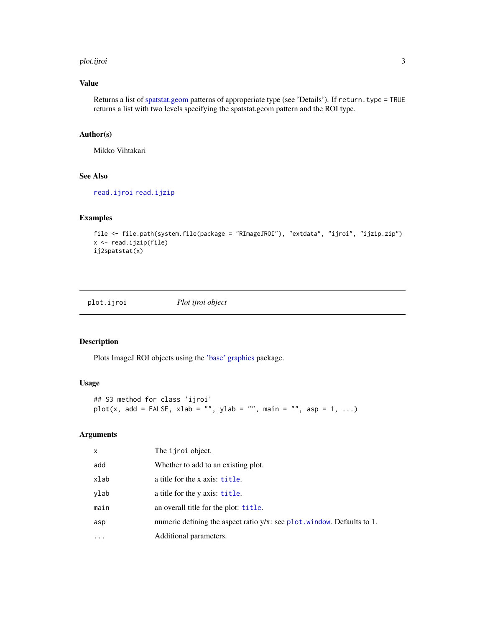#### <span id="page-2-0"></span>plot.ijroi 3

## Value

Returns a list of [spatstat.geom](#page-0-0) patterns of approperiate type (see 'Details'). If return.type = TRUE returns a list with two levels specifying the spatstat.geom pattern and the ROI type.

## Author(s)

Mikko Vihtakari

### See Also

[read.ijroi](#page-6-1) [read.ijzip](#page-7-1)

## Examples

```
file <- file.path(system.file(package = "RImageJROI"), "extdata", "ijroi", "ijzip.zip")
x <- read.ijzip(file)
ij2spatstat(x)
```
<span id="page-2-1"></span>plot.ijroi *Plot ijroi object*

#### Description

Plots ImageJ ROI objects using the ['base' graphics](#page-0-0) package.

## Usage

```
## S3 method for class 'ijroi'
plot(x, add = FALSE, xlab = "", ylab = "", main = "", asp = 1, ...)
```
#### Arguments

| x    | The <i>i</i> jroi object.                                                  |
|------|----------------------------------------------------------------------------|
| add  | Whether to add to an existing plot.                                        |
| xlab | a title for the x axis: title.                                             |
| vlab | a title for the y axis: title.                                             |
| main | an overall title for the plot: title.                                      |
| asp  | numeric defining the aspect ratio $y/x$ : see plot. window. Defaults to 1. |
| .    | Additional parameters.                                                     |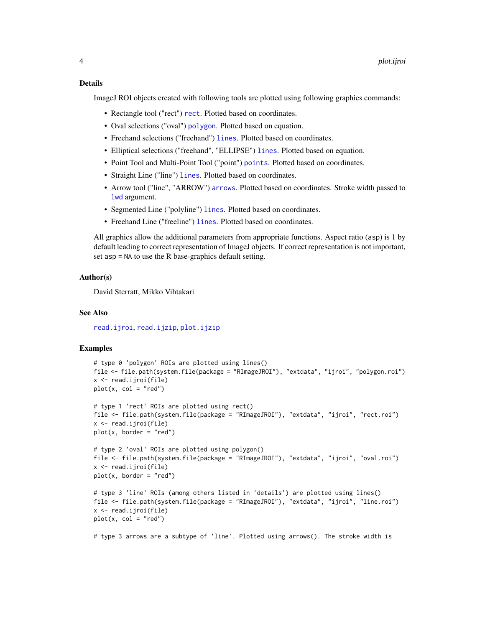#### <span id="page-3-0"></span>Details

ImageJ ROI objects created with following tools are plotted using following graphics commands:

- Rectangle tool ("rect") [rect](#page-0-0). Plotted based on coordinates.
- Oval selections ("oval") [polygon](#page-0-0). Plotted based on equation.
- Freehand selections ("freehand") [lines](#page-0-0). Plotted based on coordinates.
- Elliptical selections ("freehand", "ELLIPSE") [lines](#page-0-0). Plotted based on equation.
- Point Tool and Multi-Point Tool ("point") [points](#page-0-0). Plotted based on coordinates.
- Straight Line ("line") [lines](#page-0-0). Plotted based on coordinates.
- Arrow tool ("line", "ARROW") [arrows](#page-0-0). Plotted based on coordinates. Stroke width passed to [lwd](#page-0-0) argument.
- Segmented Line ("polyline") [lines](#page-0-0). Plotted based on coordinates.
- Freehand Line ("freeline") [lines](#page-0-0). Plotted based on coordinates.

All graphics allow the additional parameters from appropriate functions. Aspect ratio (asp) is 1 by default leading to correct representation of ImageJ objects. If correct representation is not important, set asp = NA to use the R base-graphics default setting.

#### Author(s)

David Sterratt, Mikko Vihtakari

### See Also

[read.ijroi](#page-6-1), [read.ijzip](#page-7-1), [plot.ijzip](#page-4-1)

#### Examples

```
# type 0 'polygon' ROIs are plotted using lines()
file <- file.path(system.file(package = "RImageJROI"), "extdata", "ijroi", "polygon.roi")
x <- read.ijroi(file)
plot(x, col = "red")# type 1 'rect' ROIs are plotted using rect()
file <- file.path(system.file(package = "RImageJROI"), "extdata", "ijroi", "rect.roi")
x <- read.ijroi(file)
plot(x, border = "red")# type 2 'oval' ROIs are plotted using polygon()
file <- file.path(system.file(package = "RImageJROI"), "extdata", "ijroi", "oval.roi")
x <- read.ijroi(file)
plot(x, border = "red")# type 3 'line' ROIs (among others listed in 'details') are plotted using lines()
file <- file.path(system.file(package = "RImageJROI"), "extdata", "ijroi", "line.roi")
x <- read.ijroi(file)
plot(x, col = "red")# type 3 arrows are a subtype of 'line'. Plotted using arrows(). The stroke width is
```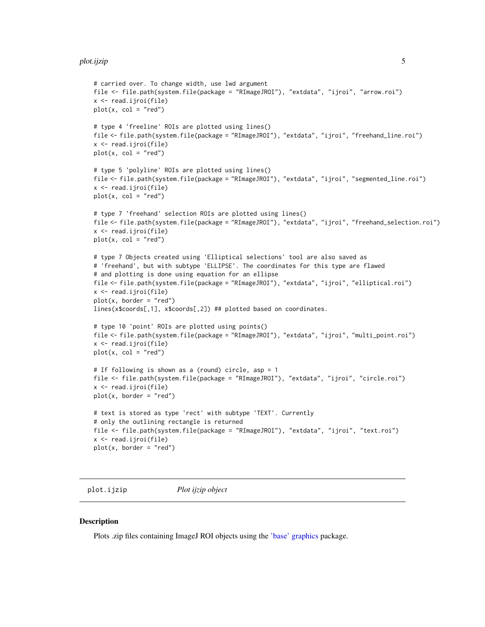```
# carried over. To change width, use lwd argument
file <- file.path(system.file(package = "RImageJROI"), "extdata", "ijroi", "arrow.roi")
x <- read.ijroi(file)
plot(x, col = "red")# type 4 'freeline' ROIs are plotted using lines()
file <- file.path(system.file(package = "RImageJROI"), "extdata", "ijroi", "freehand_line.roi")
x <- read.ijroi(file)
plot(x, col = "red")# type 5 'polyline' ROIs are plotted using lines()
file <- file.path(system.file(package = "RImageJROI"), "extdata", "ijroi", "segmented_line.roi")
x <- read.ijroi(file)
plot(x, col = "red")# type 7 'freehand' selection ROIs are plotted using lines()
file <- file.path(system.file(package = "RImageJROI"), "extdata", "ijroi", "freehand_selection.roi")
x <- read.ijroi(file)
plot(x, col = "red")# type 7 Objects created using 'Elliptical selections' tool are also saved as
# 'freehand', but with subtype 'ELLIPSE'. The coordinates for this type are flawed
# and plotting is done using equation for an ellipse
file <- file.path(system.file(package = "RImageJROI"), "extdata", "ijroi", "elliptical.roi")
x <- read.ijroi(file)
plot(x, border = "red")
lines(x$coords[,1], x$coords[,2]) ## plotted based on coordinates.
# type 10 'point' ROIs are plotted using points()
file <- file.path(system.file(package = "RImageJROI"), "extdata", "ijroi", "multi_point.roi")
x <- read.ijroi(file)
plot(x, col = "red")# If following is shown as a (round) circle, asp = 1
file <- file.path(system.file(package = "RImageJROI"), "extdata", "ijroi", "circle.roi")
x <- read.ijroi(file)
plot(x, border = "red")# text is stored as type 'rect' with subtype 'TEXT'. Currently
# only the outlining rectangle is returned
file <- file.path(system.file(package = "RImageJROI"), "extdata", "ijroi", "text.roi")
x <- read.ijroi(file)
plot(x, border = "red")
```
<span id="page-4-1"></span>plot.ijzip *Plot ijzip object*

#### **Description**

Plots .zip files containing ImageJ ROI objects using the ['base' graphics](#page-0-0) package.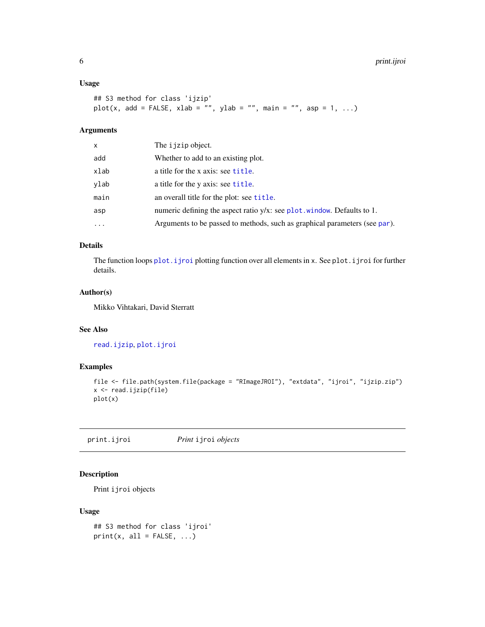#### <span id="page-5-0"></span>Usage

```
## S3 method for class 'ijzip'
plot(x, add = FALSE, xlab = "", ylab = "", main = "", asp = 1, ...)
```
## Arguments

| x        | The i jzip object.                                                         |
|----------|----------------------------------------------------------------------------|
| add      | Whether to add to an existing plot.                                        |
| xlab     | a title for the x axis: see title.                                         |
| vlab     | a title for the y axis: see title.                                         |
| main     | an overall title for the plot: see title.                                  |
| asp      | numeric defining the aspect ratio $y/x$ : see plot. window. Defaults to 1. |
| $\cdots$ | Arguments to be passed to methods, such as graphical parameters (see par). |

#### Details

The function loops [plot.ijroi](#page-2-1) plotting function over all elements in x. See plot.ijroi for further details.

## Author(s)

Mikko Vihtakari, David Sterratt

## See Also

[read.ijzip](#page-7-1), [plot.ijroi](#page-2-1)

## Examples

```
file <- file.path(system.file(package = "RImageJROI"), "extdata", "ijroi", "ijzip.zip")
x <- read.ijzip(file)
plot(x)
```
print.ijroi *Print* ijroi *objects*

## Description

Print ijroi objects

#### Usage

```
## S3 method for class 'ijroi'
print(x, all = FALSE, ...)
```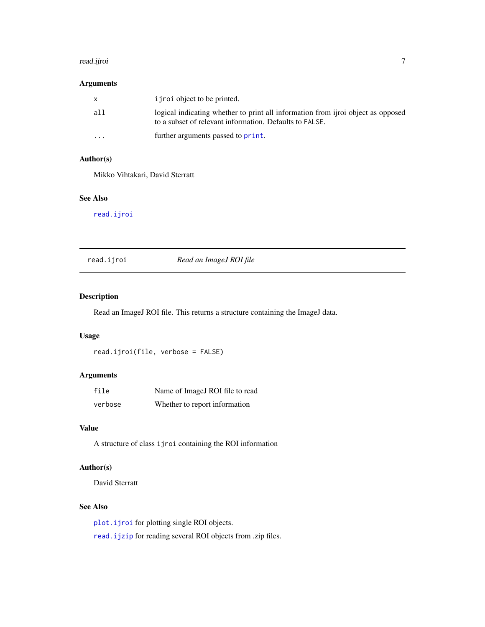#### <span id="page-6-0"></span>read.ijroi 7

## Arguments

| x       | i j roi object to be printed.                                                                                                               |
|---------|---------------------------------------------------------------------------------------------------------------------------------------------|
| a11     | logical indicating whether to print all information from ijroi object as opposed<br>to a subset of relevant information. Defaults to FALSE. |
| $\cdot$ | further arguments passed to <b>print</b> .                                                                                                  |

## Author(s)

Mikko Vihtakari, David Sterratt

#### See Also

[read.ijroi](#page-6-1)

<span id="page-6-1"></span>read.ijroi *Read an ImageJ ROI file*

## Description

Read an ImageJ ROI file. This returns a structure containing the ImageJ data.

## Usage

read.ijroi(file, verbose = FALSE)

## Arguments

| file    | Name of ImageJ ROI file to read |
|---------|---------------------------------|
| verbose | Whether to report information   |

#### Value

A structure of class ijroi containing the ROI information

## Author(s)

David Sterratt

## See Also

[plot.ijroi](#page-2-1) for plotting single ROI objects.

[read.ijzip](#page-7-1) for reading several ROI objects from .zip files.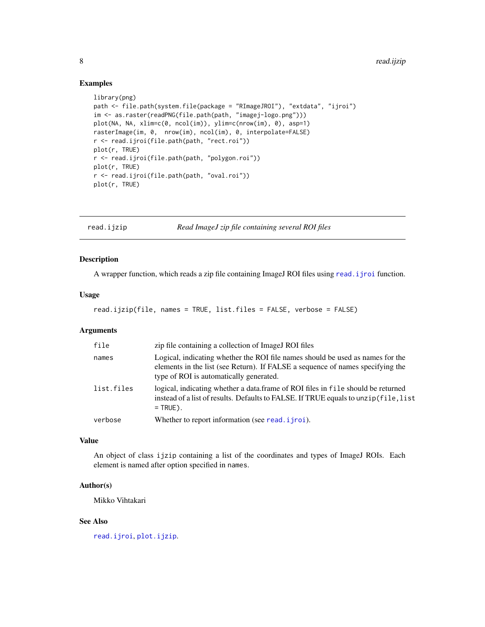#### Examples

```
library(png)
path <- file.path(system.file(package = "RImageJROI"), "extdata", "ijroi")
im <- as.raster(readPNG(file.path(path, "imagej-logo.png")))
plot(NA, NA, xlim=c(0, ncol(im)), ylim=c(nrow(im), 0), asp=1)
rasterImage(im, 0, nrow(im), ncol(im), 0, interpolate=FALSE)
r <- read.ijroi(file.path(path, "rect.roi"))
plot(r, TRUE)
r <- read.ijroi(file.path(path, "polygon.roi"))
plot(r, TRUE)
r <- read.ijroi(file.path(path, "oval.roi"))
plot(r, TRUE)
```
<span id="page-7-1"></span>

read.ijzip *Read ImageJ zip file containing several ROI files*

#### Description

A wrapper function, which reads a zip file containing ImageJ ROI files using [read.ijroi](#page-6-1) function.

#### Usage

```
read.ijzip(file, names = TRUE, list.files = FALSE, verbose = FALSE)
```
## Arguments

| file       | zip file containing a collection of ImageJ ROI files                                                                                                                                                        |
|------------|-------------------------------------------------------------------------------------------------------------------------------------------------------------------------------------------------------------|
| names      | Logical, indicating whether the ROI file names should be used as names for the<br>elements in the list (see Return). If FALSE a sequence of names specifying the<br>type of ROI is automatically generated. |
| list.files | logical, indicating whether a data.frame of ROI files in file should be returned<br>instead of a list of results. Defaults to FALSE. If TRUE equals to unzip (file, list<br>$=$ TRUE).                      |
| verbose    | Whether to report information (see read, i jroi).                                                                                                                                                           |

#### Value

An object of class ijzip containing a list of the coordinates and types of ImageJ ROIs. Each element is named after option specified in names.

#### Author(s)

Mikko Vihtakari

## See Also

[read.ijroi](#page-6-1), [plot.ijzip](#page-4-1).

<span id="page-7-0"></span>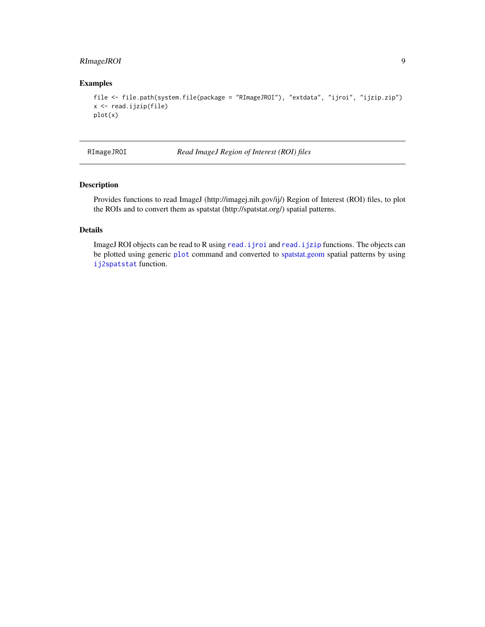## <span id="page-8-0"></span>RImageJROI 9

## Examples

```
file <- file.path(system.file(package = "RImageJROI"), "extdata", "ijroi", "ijzip.zip")
x <- read.ijzip(file)
plot(x)
```
RImageJROI *Read ImageJ Region of Interest (ROI) files*

## Description

Provides functions to read ImageJ (http://imagej.nih.gov/ij/) Region of Interest (ROI) files, to plot the ROIs and to convert them as spatstat (http://spatstat.org/) spatial patterns.

## Details

ImageJ ROI objects can be read to R using [read.ijroi](#page-6-1) and [read.ijzip](#page-7-1) functions. The objects can be plotted using generic [plot](#page-2-1) command and converted to [spatstat.geom](#page-0-0) spatial patterns by using [ij2spatstat](#page-1-1) function.